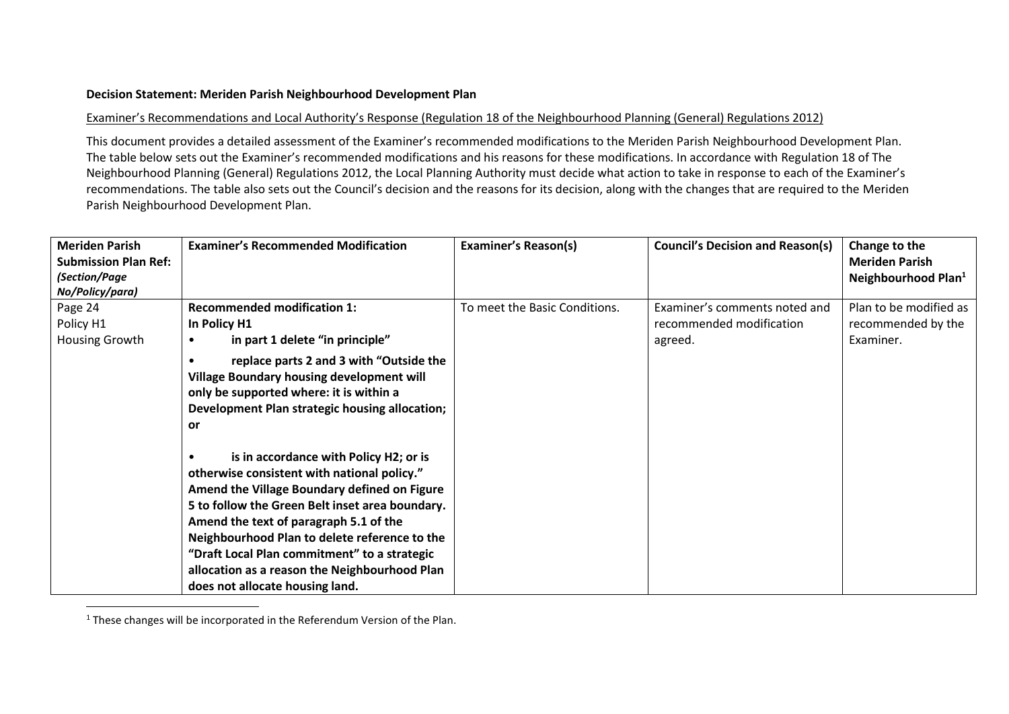## **Decision Statement: Meriden Parish Neighbourhood Development Plan**

## Examiner's Recommendations and Local Authority's Response (Regulation 18 of the Neighbourhood Planning (General) Regulations 2012)

This document provides a detailed assessment of the Examiner's recommended modifications to the Meriden Parish Neighbourhood Development Plan. The table below sets out the Examiner's recommended modifications and his reasons for these modifications. In accordance with Regulation 18 of The Neighbourhood Planning (General) Regulations 2012, the Local Planning Authority must decide what action to take in response to each of the Examiner's recommendations. The table also sets out the Council's decision and the reasons for its decision, along with the changes that are required to the Meriden Parish Neighbourhood Development Plan.

| <b>Meriden Parish</b>       | <b>Examiner's Recommended Modification</b>                                                                                                                                                                                                                                                                                                                                                                                           | <b>Examiner's Reason(s)</b>   | <b>Council's Decision and Reason(s)</b> | Change to the                   |
|-----------------------------|--------------------------------------------------------------------------------------------------------------------------------------------------------------------------------------------------------------------------------------------------------------------------------------------------------------------------------------------------------------------------------------------------------------------------------------|-------------------------------|-----------------------------------------|---------------------------------|
| <b>Submission Plan Ref:</b> |                                                                                                                                                                                                                                                                                                                                                                                                                                      |                               |                                         | <b>Meriden Parish</b>           |
| (Section/Page               |                                                                                                                                                                                                                                                                                                                                                                                                                                      |                               |                                         | Neighbourhood Plan <sup>1</sup> |
| No/Policy/para)             |                                                                                                                                                                                                                                                                                                                                                                                                                                      |                               |                                         |                                 |
| Page 24                     | <b>Recommended modification 1:</b>                                                                                                                                                                                                                                                                                                                                                                                                   | To meet the Basic Conditions. | Examiner's comments noted and           | Plan to be modified as          |
| Policy H1                   | In Policy H1                                                                                                                                                                                                                                                                                                                                                                                                                         |                               | recommended modification                | recommended by the              |
| Housing Growth              | in part 1 delete "in principle"<br>$\bullet$                                                                                                                                                                                                                                                                                                                                                                                         |                               | agreed.                                 | Examiner.                       |
|                             | replace parts 2 and 3 with "Outside the<br>Village Boundary housing development will<br>only be supported where: it is within a<br>Development Plan strategic housing allocation;<br>or                                                                                                                                                                                                                                              |                               |                                         |                                 |
|                             | is in accordance with Policy H2; or is<br>$\bullet$<br>otherwise consistent with national policy."<br>Amend the Village Boundary defined on Figure<br>5 to follow the Green Belt inset area boundary.<br>Amend the text of paragraph 5.1 of the<br>Neighbourhood Plan to delete reference to the<br>"Draft Local Plan commitment" to a strategic<br>allocation as a reason the Neighbourhood Plan<br>does not allocate housing land. |                               |                                         |                                 |

 $1$  These changes will be incorporated in the Referendum Version of the Plan.

 $\overline{a}$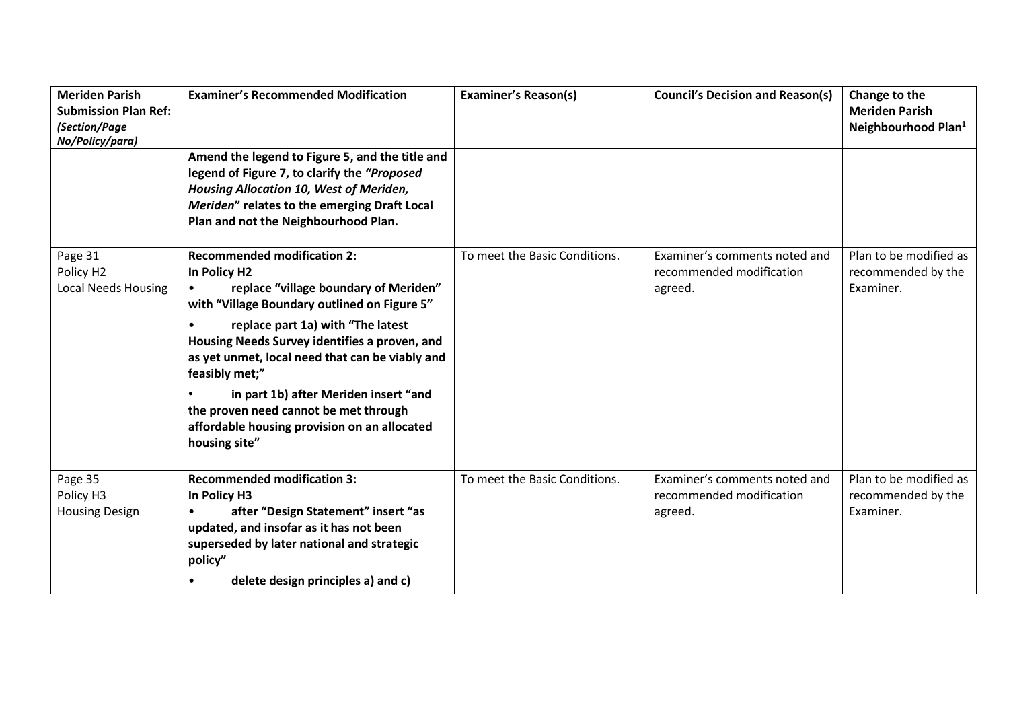| <b>Meriden Parish</b><br><b>Submission Plan Ref:</b><br>(Section/Page<br>No/Policy/para) | <b>Examiner's Recommended Modification</b>                                                                                                                                                                                          | <b>Examiner's Reason(s)</b>   | <b>Council's Decision and Reason(s)</b>                              | Change to the<br><b>Meriden Parish</b><br>Neighbourhood Plan <sup>1</sup> |
|------------------------------------------------------------------------------------------|-------------------------------------------------------------------------------------------------------------------------------------------------------------------------------------------------------------------------------------|-------------------------------|----------------------------------------------------------------------|---------------------------------------------------------------------------|
|                                                                                          | Amend the legend to Figure 5, and the title and<br>legend of Figure 7, to clarify the "Proposed<br>Housing Allocation 10, West of Meriden,<br>Meriden" relates to the emerging Draft Local<br>Plan and not the Neighbourhood Plan.  |                               |                                                                      |                                                                           |
| Page 31<br>Policy H2<br><b>Local Needs Housing</b>                                       | <b>Recommended modification 2:</b><br>In Policy H2<br>replace "village boundary of Meriden"<br>with "Village Boundary outlined on Figure 5"                                                                                         | To meet the Basic Conditions. | Examiner's comments noted and<br>recommended modification<br>agreed. | Plan to be modified as<br>recommended by the<br>Examiner.                 |
|                                                                                          | replace part 1a) with "The latest<br>Housing Needs Survey identifies a proven, and<br>as yet unmet, local need that can be viably and<br>feasibly met;"                                                                             |                               |                                                                      |                                                                           |
|                                                                                          | in part 1b) after Meriden insert "and<br>the proven need cannot be met through<br>affordable housing provision on an allocated<br>housing site"                                                                                     |                               |                                                                      |                                                                           |
| Page 35<br>Policy H3<br><b>Housing Design</b>                                            | <b>Recommended modification 3:</b><br>In Policy H3<br>after "Design Statement" insert "as<br>updated, and insofar as it has not been<br>superseded by later national and strategic<br>policy"<br>delete design principles a) and c) | To meet the Basic Conditions. | Examiner's comments noted and<br>recommended modification<br>agreed. | Plan to be modified as<br>recommended by the<br>Examiner.                 |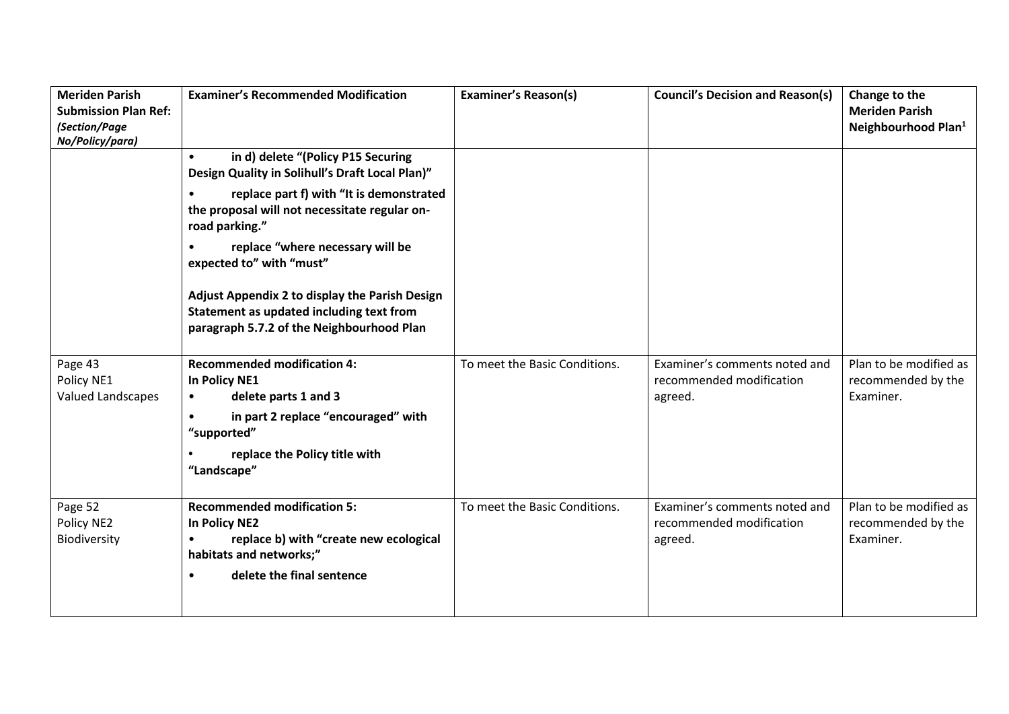| <b>Meriden Parish</b><br><b>Submission Plan Ref:</b><br>(Section/Page<br>No/Policy/para) | <b>Examiner's Recommended Modification</b>                                                                                                                                                                                                                                                                                                                                                                                   | <b>Examiner's Reason(s)</b>   | <b>Council's Decision and Reason(s)</b>                              | Change to the<br><b>Meriden Parish</b><br>Neighbourhood Plan <sup>1</sup> |
|------------------------------------------------------------------------------------------|------------------------------------------------------------------------------------------------------------------------------------------------------------------------------------------------------------------------------------------------------------------------------------------------------------------------------------------------------------------------------------------------------------------------------|-------------------------------|----------------------------------------------------------------------|---------------------------------------------------------------------------|
|                                                                                          | in d) delete "(Policy P15 Securing<br>$\bullet$<br>Design Quality in Solihull's Draft Local Plan)"<br>replace part f) with "It is demonstrated<br>the proposal will not necessitate regular on-<br>road parking."<br>replace "where necessary will be<br>expected to" with "must"<br>Adjust Appendix 2 to display the Parish Design<br>Statement as updated including text from<br>paragraph 5.7.2 of the Neighbourhood Plan |                               |                                                                      |                                                                           |
| Page 43<br>Policy NE1<br><b>Valued Landscapes</b>                                        | <b>Recommended modification 4:</b><br><b>In Policy NE1</b><br>delete parts 1 and 3<br>$\bullet$<br>in part 2 replace "encouraged" with<br>"supported"<br>replace the Policy title with<br>"Landscape"                                                                                                                                                                                                                        | To meet the Basic Conditions. | Examiner's comments noted and<br>recommended modification<br>agreed. | Plan to be modified as<br>recommended by the<br>Examiner.                 |
| Page 52<br>Policy NE2<br>Biodiversity                                                    | <b>Recommended modification 5:</b><br><b>In Policy NE2</b><br>replace b) with "create new ecological<br>habitats and networks;"<br>delete the final sentence<br>$\bullet$                                                                                                                                                                                                                                                    | To meet the Basic Conditions. | Examiner's comments noted and<br>recommended modification<br>agreed. | Plan to be modified as<br>recommended by the<br>Examiner.                 |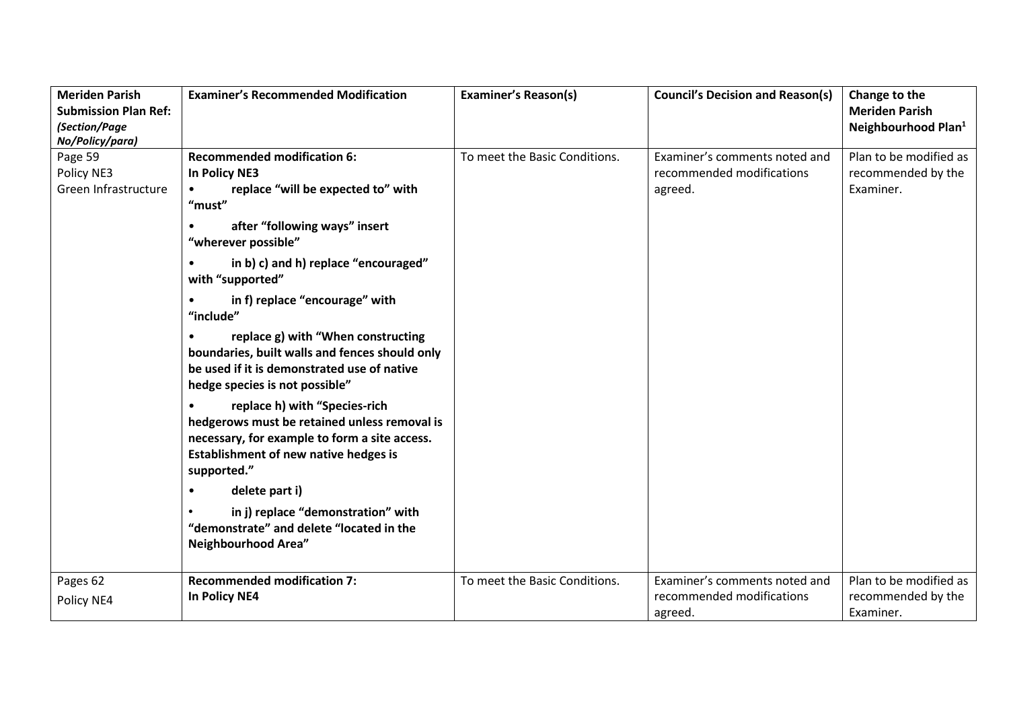| <b>Meriden Parish</b><br><b>Submission Plan Ref:</b><br>(Section/Page<br>No/Policy/para) | <b>Examiner's Recommended Modification</b>                                                                                                                                                                                                                                                       | <b>Examiner's Reason(s)</b>   | <b>Council's Decision and Reason(s)</b>                               | Change to the<br><b>Meriden Parish</b><br>Neighbourhood Plan <sup>1</sup> |
|------------------------------------------------------------------------------------------|--------------------------------------------------------------------------------------------------------------------------------------------------------------------------------------------------------------------------------------------------------------------------------------------------|-------------------------------|-----------------------------------------------------------------------|---------------------------------------------------------------------------|
| Page 59<br>Policy NE3<br>Green Infrastructure                                            | <b>Recommended modification 6:</b><br>In Policy NE3<br>replace "will be expected to" with<br>$\bullet$<br>"must"<br>after "following ways" insert<br>"wherever possible"<br>in b) c) and h) replace "encouraged"<br>$\bullet$<br>with "supported"<br>in f) replace "encourage" with<br>"include" | To meet the Basic Conditions. | Examiner's comments noted and<br>recommended modifications<br>agreed. | Plan to be modified as<br>recommended by the<br>Examiner.                 |
|                                                                                          | replace g) with "When constructing<br>boundaries, built walls and fences should only<br>be used if it is demonstrated use of native<br>hedge species is not possible"                                                                                                                            |                               |                                                                       |                                                                           |
|                                                                                          | replace h) with "Species-rich<br>$\bullet$<br>hedgerows must be retained unless removal is<br>necessary, for example to form a site access.<br>Establishment of new native hedges is<br>supported."                                                                                              |                               |                                                                       |                                                                           |
|                                                                                          | delete part i)<br>$\bullet$<br>in j) replace "demonstration" with<br>"demonstrate" and delete "located in the<br>Neighbourhood Area"                                                                                                                                                             |                               |                                                                       |                                                                           |
| Pages 62<br>Policy NE4                                                                   | <b>Recommended modification 7:</b><br>In Policy NE4                                                                                                                                                                                                                                              | To meet the Basic Conditions. | Examiner's comments noted and<br>recommended modifications<br>agreed. | Plan to be modified as<br>recommended by the<br>Examiner.                 |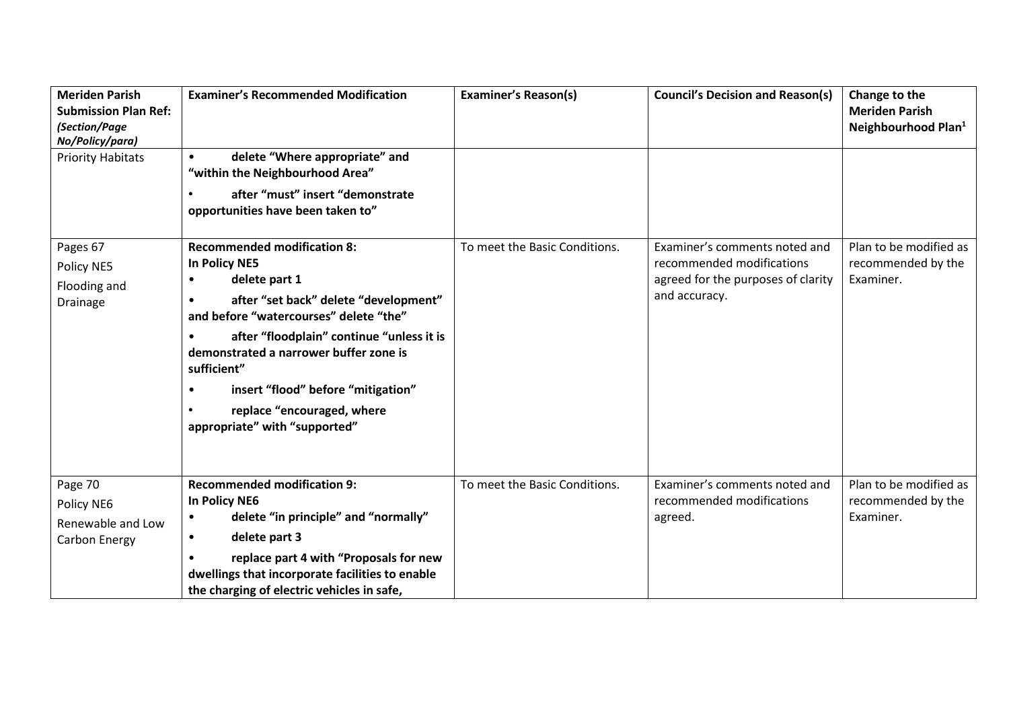| <b>Meriden Parish</b><br><b>Submission Plan Ref:</b><br>(Section/Page<br>No/Policy/para) | <b>Examiner's Recommended Modification</b>                                                                                                                                                                                                                                                                                                                                                                | <b>Examiner's Reason(s)</b>   | <b>Council's Decision and Reason(s)</b>                                                                           | Change to the<br><b>Meriden Parish</b><br>Neighbourhood Plan <sup>1</sup> |
|------------------------------------------------------------------------------------------|-----------------------------------------------------------------------------------------------------------------------------------------------------------------------------------------------------------------------------------------------------------------------------------------------------------------------------------------------------------------------------------------------------------|-------------------------------|-------------------------------------------------------------------------------------------------------------------|---------------------------------------------------------------------------|
| <b>Priority Habitats</b>                                                                 | delete "Where appropriate" and<br>$\bullet$<br>"within the Neighbourhood Area"<br>after "must" insert "demonstrate<br>opportunities have been taken to"                                                                                                                                                                                                                                                   |                               |                                                                                                                   |                                                                           |
| Pages 67<br>Policy NE5<br>Flooding and<br>Drainage                                       | <b>Recommended modification 8:</b><br>In Policy NE5<br>delete part 1<br>$\bullet$<br>after "set back" delete "development"<br>$\bullet$<br>and before "watercourses" delete "the"<br>after "floodplain" continue "unless it is<br>demonstrated a narrower buffer zone is<br>sufficient"<br>insert "flood" before "mitigation"<br>$\bullet$<br>replace "encouraged, where<br>appropriate" with "supported" | To meet the Basic Conditions. | Examiner's comments noted and<br>recommended modifications<br>agreed for the purposes of clarity<br>and accuracy. | Plan to be modified as<br>recommended by the<br>Examiner.                 |
| Page 70<br>Policy NE6<br>Renewable and Low<br>Carbon Energy                              | <b>Recommended modification 9:</b><br>In Policy NE6<br>delete "in principle" and "normally"<br>$\bullet$<br>delete part 3<br>$\bullet$<br>replace part 4 with "Proposals for new<br>dwellings that incorporate facilities to enable<br>the charging of electric vehicles in safe,                                                                                                                         | To meet the Basic Conditions. | Examiner's comments noted and<br>recommended modifications<br>agreed.                                             | Plan to be modified as<br>recommended by the<br>Examiner.                 |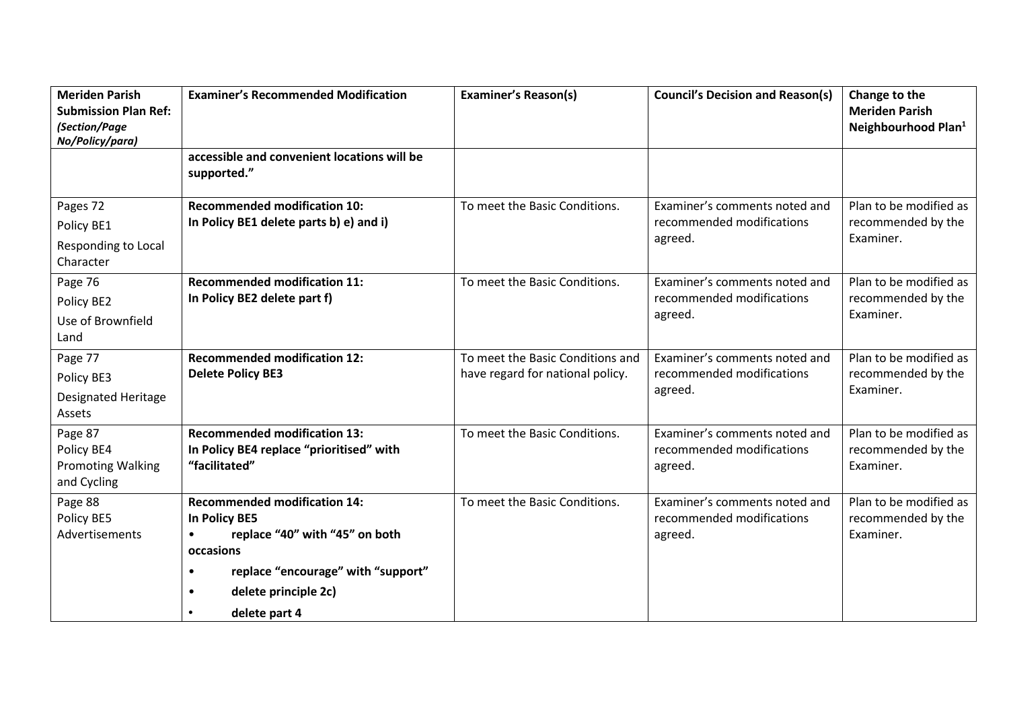| <b>Meriden Parish</b><br><b>Submission Plan Ref:</b><br>(Section/Page<br>No/Policy/para) | <b>Examiner's Recommended Modification</b>                                                                                                                                                                        | <b>Examiner's Reason(s)</b>                                          | <b>Council's Decision and Reason(s)</b>                               | Change to the<br><b>Meriden Parish</b><br>Neighbourhood Plan <sup>1</sup> |
|------------------------------------------------------------------------------------------|-------------------------------------------------------------------------------------------------------------------------------------------------------------------------------------------------------------------|----------------------------------------------------------------------|-----------------------------------------------------------------------|---------------------------------------------------------------------------|
|                                                                                          | accessible and convenient locations will be<br>supported."                                                                                                                                                        |                                                                      |                                                                       |                                                                           |
| Pages 72<br>Policy BE1<br>Responding to Local<br>Character                               | <b>Recommended modification 10:</b><br>In Policy BE1 delete parts b) e) and i)                                                                                                                                    | To meet the Basic Conditions.                                        | Examiner's comments noted and<br>recommended modifications<br>agreed. | Plan to be modified as<br>recommended by the<br>Examiner.                 |
| Page 76<br>Policy BE2<br>Use of Brownfield<br>Land                                       | <b>Recommended modification 11:</b><br>In Policy BE2 delete part f)                                                                                                                                               | To meet the Basic Conditions.                                        | Examiner's comments noted and<br>recommended modifications<br>agreed. | Plan to be modified as<br>recommended by the<br>Examiner.                 |
| Page 77<br>Policy BE3<br><b>Designated Heritage</b><br>Assets                            | <b>Recommended modification 12:</b><br><b>Delete Policy BE3</b>                                                                                                                                                   | To meet the Basic Conditions and<br>have regard for national policy. | Examiner's comments noted and<br>recommended modifications<br>agreed. | Plan to be modified as<br>recommended by the<br>Examiner.                 |
| Page 87<br>Policy BE4<br><b>Promoting Walking</b><br>and Cycling                         | <b>Recommended modification 13:</b><br>In Policy BE4 replace "prioritised" with<br>"facilitated"                                                                                                                  | To meet the Basic Conditions.                                        | Examiner's comments noted and<br>recommended modifications<br>agreed. | Plan to be modified as<br>recommended by the<br>Examiner.                 |
| Page 88<br>Policy BE5<br>Advertisements                                                  | <b>Recommended modification 14:</b><br>In Policy BE5<br>replace "40" with "45" on both<br>$\bullet$<br>occasions<br>replace "encourage" with "support"<br>$\bullet$<br>delete principle 2c)<br>٠<br>delete part 4 | To meet the Basic Conditions.                                        | Examiner's comments noted and<br>recommended modifications<br>agreed. | Plan to be modified as<br>recommended by the<br>Examiner.                 |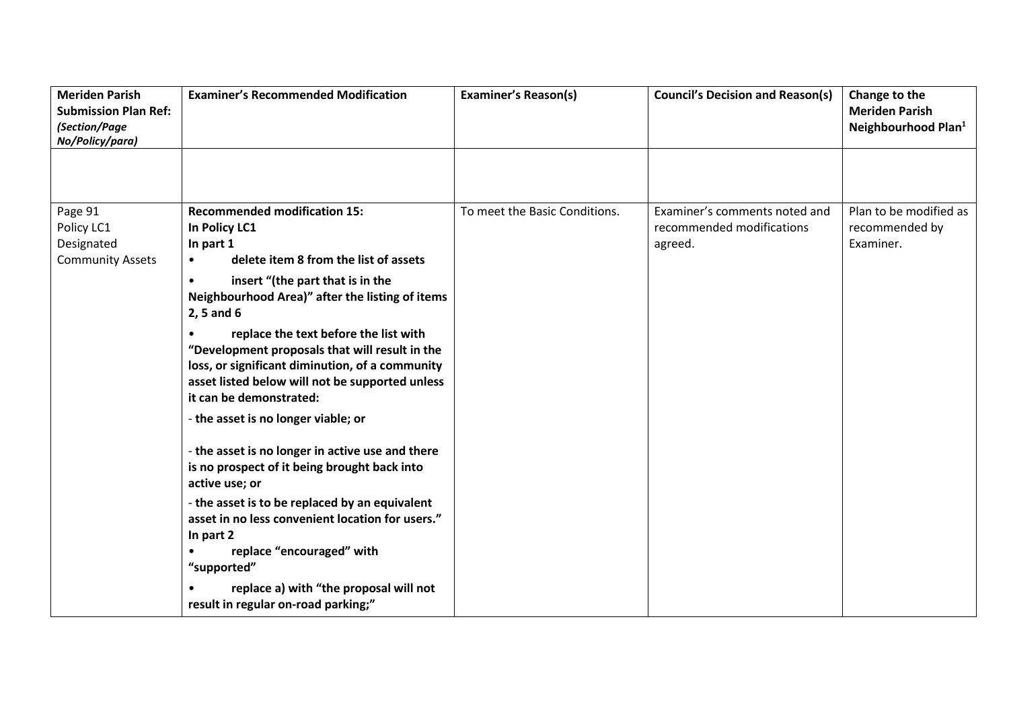| <b>Meriden Parish</b><br><b>Submission Plan Ref:</b><br>(Section/Page<br>No/Policy/para) | <b>Examiner's Recommended Modification</b>                                                                                                                                                                                                                                                                                                                                                                                                                                                                                                                                                                                                                                                                                                            | <b>Examiner's Reason(s)</b>   | <b>Council's Decision and Reason(s)</b>                               | Change to the<br><b>Meriden Parish</b><br>Neighbourhood Plan <sup>1</sup> |
|------------------------------------------------------------------------------------------|-------------------------------------------------------------------------------------------------------------------------------------------------------------------------------------------------------------------------------------------------------------------------------------------------------------------------------------------------------------------------------------------------------------------------------------------------------------------------------------------------------------------------------------------------------------------------------------------------------------------------------------------------------------------------------------------------------------------------------------------------------|-------------------------------|-----------------------------------------------------------------------|---------------------------------------------------------------------------|
|                                                                                          |                                                                                                                                                                                                                                                                                                                                                                                                                                                                                                                                                                                                                                                                                                                                                       |                               |                                                                       |                                                                           |
| Page 91<br>Policy LC1<br>Designated<br><b>Community Assets</b>                           | <b>Recommended modification 15:</b><br>In Policy LC1<br>In part 1<br>delete item 8 from the list of assets<br>$\bullet$<br>insert "(the part that is in the<br>$\bullet$<br>Neighbourhood Area)" after the listing of items<br>2, 5 and 6<br>replace the text before the list with<br>"Development proposals that will result in the<br>loss, or significant diminution, of a community<br>asset listed below will not be supported unless<br>it can be demonstrated:<br>- the asset is no longer viable; or<br>- the asset is no longer in active use and there<br>is no prospect of it being brought back into<br>active use; or<br>- the asset is to be replaced by an equivalent<br>asset in no less convenient location for users."<br>In part 2 | To meet the Basic Conditions. | Examiner's comments noted and<br>recommended modifications<br>agreed. | Plan to be modified as<br>recommended by<br>Examiner.                     |
|                                                                                          | replace "encouraged" with<br>$\bullet$<br>"supported"<br>replace a) with "the proposal will not<br>result in regular on-road parking;"                                                                                                                                                                                                                                                                                                                                                                                                                                                                                                                                                                                                                |                               |                                                                       |                                                                           |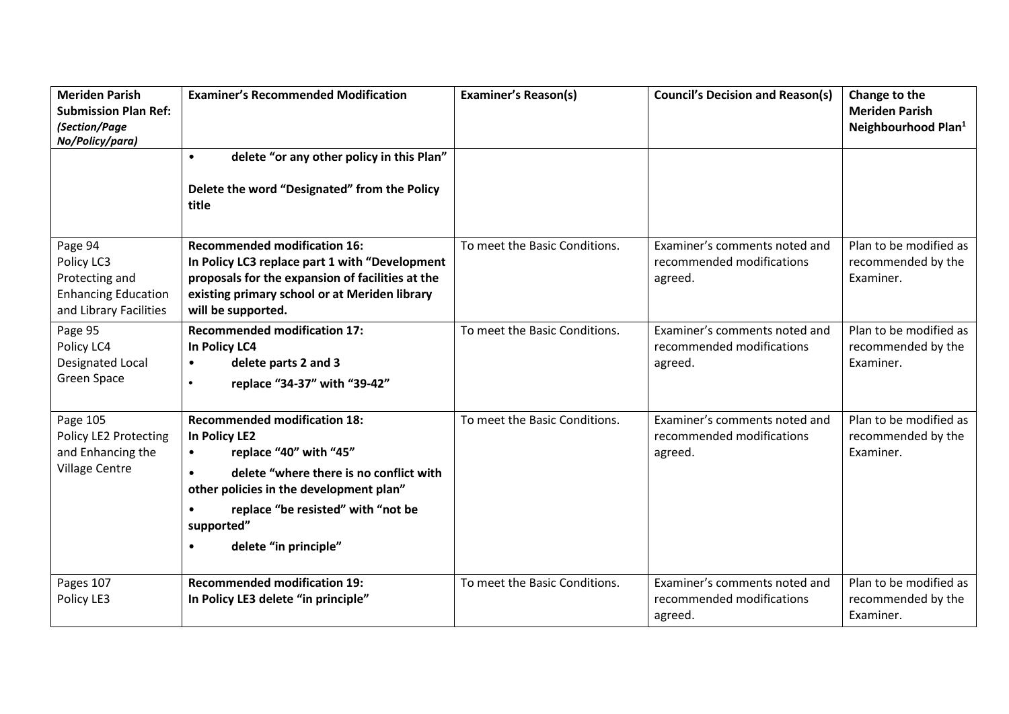| <b>Meriden Parish</b><br><b>Submission Plan Ref:</b><br>(Section/Page<br>No/Policy/para)        | <b>Examiner's Recommended Modification</b>                                                                                                                                                                                                                                               | <b>Examiner's Reason(s)</b>   | <b>Council's Decision and Reason(s)</b>                               | Change to the<br><b>Meriden Parish</b><br>Neighbourhood Plan <sup>1</sup> |
|-------------------------------------------------------------------------------------------------|------------------------------------------------------------------------------------------------------------------------------------------------------------------------------------------------------------------------------------------------------------------------------------------|-------------------------------|-----------------------------------------------------------------------|---------------------------------------------------------------------------|
|                                                                                                 | delete "or any other policy in this Plan"<br>$\bullet$<br>Delete the word "Designated" from the Policy<br>title                                                                                                                                                                          |                               |                                                                       |                                                                           |
| Page 94<br>Policy LC3<br>Protecting and<br><b>Enhancing Education</b><br>and Library Facilities | <b>Recommended modification 16:</b><br>In Policy LC3 replace part 1 with "Development<br>proposals for the expansion of facilities at the<br>existing primary school or at Meriden library<br>will be supported.                                                                         | To meet the Basic Conditions. | Examiner's comments noted and<br>recommended modifications<br>agreed. | Plan to be modified as<br>recommended by the<br>Examiner.                 |
| Page 95<br>Policy LC4<br>Designated Local<br>Green Space                                        | <b>Recommended modification 17:</b><br>In Policy LC4<br>delete parts 2 and 3<br>$\bullet$<br>replace "34-37" with "39-42"<br>$\bullet$                                                                                                                                                   | To meet the Basic Conditions. | Examiner's comments noted and<br>recommended modifications<br>agreed. | Plan to be modified as<br>recommended by the<br>Examiner.                 |
| Page 105<br>Policy LE2 Protecting<br>and Enhancing the<br><b>Village Centre</b>                 | <b>Recommended modification 18:</b><br>In Policy LE2<br>replace "40" with "45"<br>$\bullet$<br>delete "where there is no conflict with<br>$\bullet$<br>other policies in the development plan"<br>replace "be resisted" with "not be<br>supported"<br>delete "in principle"<br>$\bullet$ | To meet the Basic Conditions. | Examiner's comments noted and<br>recommended modifications<br>agreed. | Plan to be modified as<br>recommended by the<br>Examiner.                 |
| Pages 107<br>Policy LE3                                                                         | <b>Recommended modification 19:</b><br>In Policy LE3 delete "in principle"                                                                                                                                                                                                               | To meet the Basic Conditions. | Examiner's comments noted and<br>recommended modifications<br>agreed. | Plan to be modified as<br>recommended by the<br>Examiner.                 |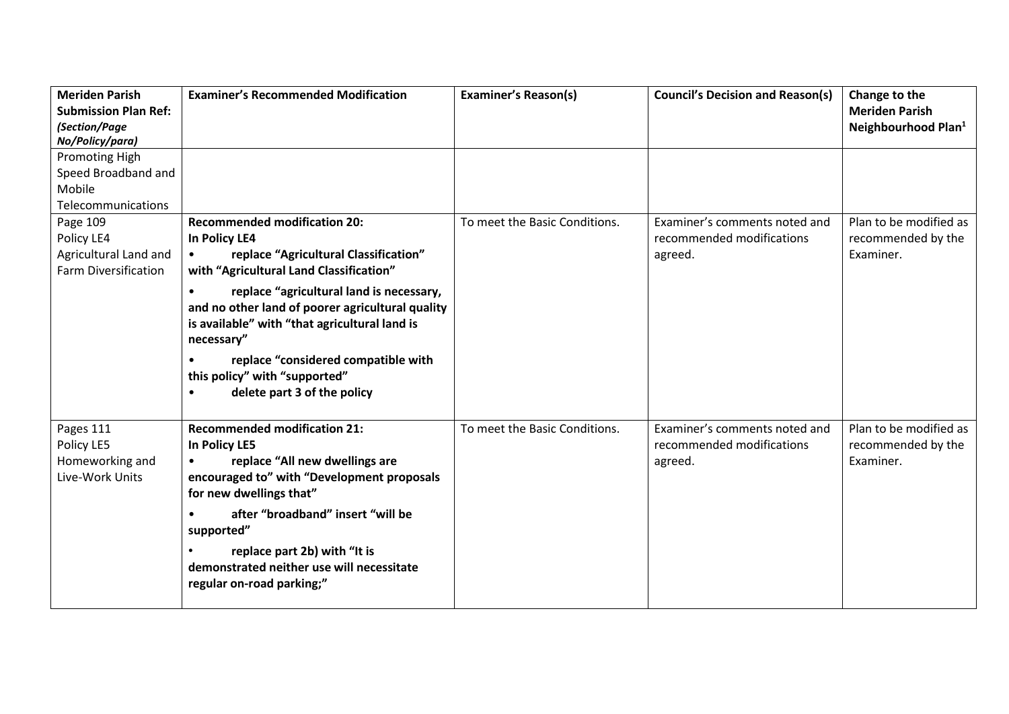| <b>Meriden Parish</b>                                         | <b>Examiner's Recommended Modification</b>                                                                                                                               | <b>Examiner's Reason(s)</b>   | <b>Council's Decision and Reason(s)</b>                               | Change to the                                             |
|---------------------------------------------------------------|--------------------------------------------------------------------------------------------------------------------------------------------------------------------------|-------------------------------|-----------------------------------------------------------------------|-----------------------------------------------------------|
| <b>Submission Plan Ref:</b>                                   |                                                                                                                                                                          |                               |                                                                       | <b>Meriden Parish</b>                                     |
| (Section/Page                                                 |                                                                                                                                                                          |                               |                                                                       | Neighbourhood Plan <sup>1</sup>                           |
| No/Policy/para)                                               |                                                                                                                                                                          |                               |                                                                       |                                                           |
| <b>Promoting High</b>                                         |                                                                                                                                                                          |                               |                                                                       |                                                           |
| Speed Broadband and                                           |                                                                                                                                                                          |                               |                                                                       |                                                           |
| Mobile                                                        |                                                                                                                                                                          |                               |                                                                       |                                                           |
| Telecommunications                                            |                                                                                                                                                                          |                               |                                                                       |                                                           |
| Page 109                                                      | <b>Recommended modification 20:</b>                                                                                                                                      | To meet the Basic Conditions. | Examiner's comments noted and                                         | Plan to be modified as                                    |
| Policy LE4                                                    | In Policy LE4                                                                                                                                                            |                               | recommended modifications                                             | recommended by the                                        |
| Agricultural Land and<br><b>Farm Diversification</b>          | replace "Agricultural Classification"<br>$\bullet$<br>with "Agricultural Land Classification"                                                                            |                               | agreed.                                                               | Examiner.                                                 |
|                                                               | replace "agricultural land is necessary,<br>$\bullet$<br>and no other land of poorer agricultural quality<br>is available" with "that agricultural land is<br>necessary" |                               |                                                                       |                                                           |
|                                                               | replace "considered compatible with<br>this policy" with "supported"<br>delete part 3 of the policy<br>$\bullet$                                                         |                               |                                                                       |                                                           |
| Pages 111<br>Policy LE5<br>Homeworking and<br>Live-Work Units | <b>Recommended modification 21:</b><br>In Policy LE5<br>replace "All new dwellings are<br>encouraged to" with "Development proposals<br>for new dwellings that"          | To meet the Basic Conditions. | Examiner's comments noted and<br>recommended modifications<br>agreed. | Plan to be modified as<br>recommended by the<br>Examiner. |
|                                                               | after "broadband" insert "will be<br>$\bullet$<br>supported"                                                                                                             |                               |                                                                       |                                                           |
|                                                               | replace part 2b) with "It is<br>demonstrated neither use will necessitate<br>regular on-road parking;"                                                                   |                               |                                                                       |                                                           |